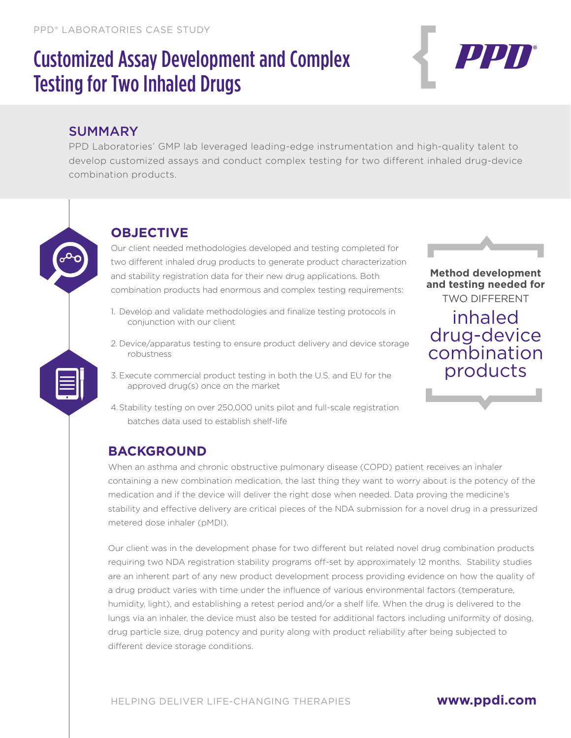# Customized Assay Development and Complex Testing for Two Inhaled Drugs



#### **SUMMARY**

PPD Laboratories' GMP lab leveraged leading-edge instrumentation and high-quality talent to develop customized assays and conduct complex testing for two different inhaled drug-device combination products.



#### **OBJECTIVE**

Our client needed methodologies developed and testing completed for two different inhaled drug products to generate product characterization and stability registration data for their new drug applications. Both combination products had enormous and complex testing requirements:

- 1. Develop and validate methodologies and finalize testing protocols in conjunction with our client
- 2. Device/apparatus testing to ensure product delivery and device storage robustness
- 3. Execute commercial product testing in both the U.S. and EU for the approved drug(s) once on the market
- 4.Stability testing on over 250,000 units pilot and full-scale registration batches data used to establish shelf-life



**Method development and testing needed for** TWO DIFFERENT inhaled drug-device combination products

#### **BACKGROUND**

When an asthma and chronic obstructive pulmonary disease (COPD) patient receives an inhaler containing a new combination medication, the last thing they want to worry about is the potency of the medication and if the device will deliver the right dose when needed. Data proving the medicine's stability and effective delivery are critical pieces of the NDA submission for a novel drug in a pressurized metered dose inhaler (pMDI).

Our client was in the development phase for two different but related novel drug combination products requiring two NDA registration stability programs off-set by approximately 12 months. Stability studies are an inherent part of any new product development process providing evidence on how the quality of a drug product varies with time under the influence of various environmental factors (temperature, humidity, light), and establishing a retest period and/or a shelf life. When the drug is delivered to the lungs via an inhaler, the device must also be tested for additional factors including uniformity of dosing, drug particle size, drug potency and purity along with product reliability after being subjected to different device storage conditions.

#### **www.ppdi.com**